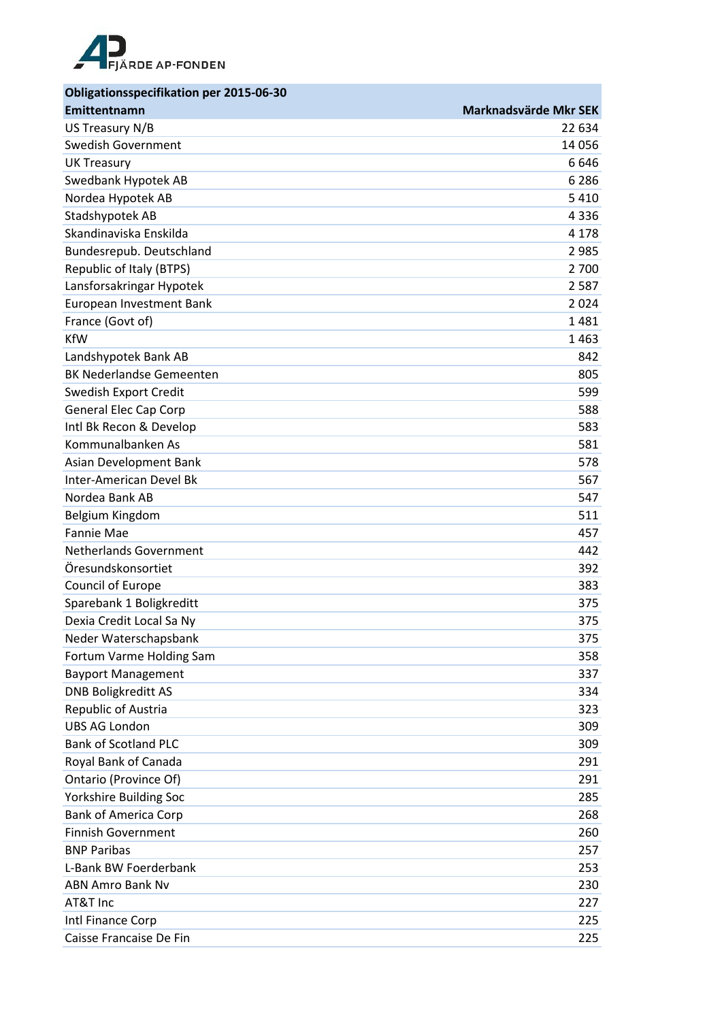

| <b>Obligationsspecifikation per 2015-06-30</b> |                       |
|------------------------------------------------|-----------------------|
| Emittentnamn                                   | Marknadsvärde Mkr SEK |
| US Treasury N/B                                | 22 634                |
| <b>Swedish Government</b>                      | 14 0 56               |
| <b>UK Treasury</b>                             | 6646                  |
| Swedbank Hypotek AB                            | 6 2 8 6               |
| Nordea Hypotek AB                              | 5 4 1 0               |
| Stadshypotek AB                                | 4336                  |
| Skandinaviska Enskilda                         | 4 1 7 8               |
| Bundesrepub. Deutschland                       | 2 9 8 5               |
| Republic of Italy (BTPS)                       | 2 700                 |
| Lansforsakringar Hypotek                       | 2 5 8 7               |
| European Investment Bank                       | 2024                  |
| France (Govt of)                               | 1481                  |
| <b>KfW</b>                                     | 1463                  |
| Landshypotek Bank AB                           | 842                   |
| <b>BK Nederlandse Gemeenten</b>                | 805                   |
| Swedish Export Credit                          | 599                   |
| <b>General Elec Cap Corp</b>                   | 588                   |
| Intl Bk Recon & Develop                        | 583                   |
| Kommunalbanken As                              | 581                   |
| Asian Development Bank                         | 578                   |
| <b>Inter-American Devel Bk</b>                 | 567                   |
| Nordea Bank AB                                 | 547                   |
| Belgium Kingdom                                | 511                   |
| <b>Fannie Mae</b>                              | 457                   |
| <b>Netherlands Government</b>                  | 442                   |
| Öresundskonsortiet                             | 392                   |
| Council of Europe                              | 383                   |
| Sparebank 1 Boligkreditt                       | 375                   |
| Dexia Credit Local Sa Ny                       | 375                   |
| Neder Waterschapsbank                          | 375                   |
| Fortum Varme Holding Sam                       | 358                   |
| <b>Bayport Management</b>                      | 337                   |
| <b>DNB Boligkreditt AS</b>                     | 334                   |
| Republic of Austria                            | 323                   |
| <b>UBS AG London</b>                           | 309                   |
| <b>Bank of Scotland PLC</b>                    | 309                   |
| Royal Bank of Canada                           | 291                   |
| Ontario (Province Of)                          | 291                   |
| Yorkshire Building Soc                         | 285                   |
| <b>Bank of America Corp</b>                    | 268                   |
| <b>Finnish Government</b>                      | 260                   |
| <b>BNP Paribas</b>                             | 257                   |
| L-Bank BW Foerderbank                          | 253                   |
| <b>ABN Amro Bank Nv</b>                        | 230                   |
| AT&T Inc                                       | 227                   |
| Intl Finance Corp                              | 225                   |
| Caisse Francaise De Fin                        | 225                   |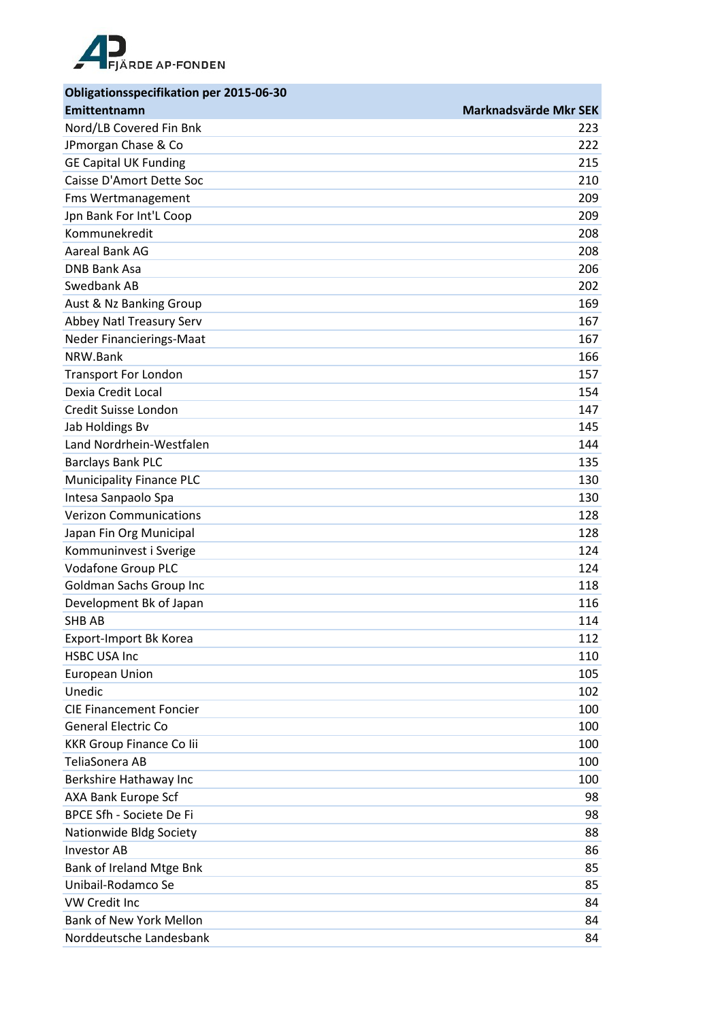

| <b>Obligationsspecifikation per 2015-06-30</b> |                       |
|------------------------------------------------|-----------------------|
| Emittentnamn                                   | Marknadsvärde Mkr SEK |
| Nord/LB Covered Fin Bnk                        | 223                   |
| JPmorgan Chase & Co                            | 222                   |
| <b>GE Capital UK Funding</b>                   | 215                   |
| Caisse D'Amort Dette Soc                       | 210                   |
| <b>Fms Wertmanagement</b>                      | 209                   |
| Jpn Bank For Int'L Coop                        | 209                   |
| Kommunekredit                                  | 208                   |
| Aareal Bank AG                                 | 208                   |
| <b>DNB Bank Asa</b>                            | 206                   |
| Swedbank AB                                    | 202                   |
| Aust & Nz Banking Group                        | 169                   |
| Abbey Natl Treasury Serv                       | 167                   |
| Neder Financierings-Maat                       | 167                   |
| NRW.Bank                                       | 166                   |
| <b>Transport For London</b>                    | 157                   |
| Dexia Credit Local                             | 154                   |
| Credit Suisse London                           | 147                   |
| Jab Holdings Bv                                | 145                   |
| Land Nordrhein-Westfalen                       | 144                   |
| <b>Barclays Bank PLC</b>                       | 135                   |
| <b>Municipality Finance PLC</b>                | 130                   |
| Intesa Sanpaolo Spa                            | 130                   |
| <b>Verizon Communications</b>                  | 128                   |
| Japan Fin Org Municipal                        | 128                   |
| Kommuninvest i Sverige                         | 124                   |
| <b>Vodafone Group PLC</b>                      | 124                   |
| <b>Goldman Sachs Group Inc</b>                 | 118                   |
| Development Bk of Japan                        | 116                   |
| SHB AB                                         | 114                   |
| Export-Import Bk Korea                         | 112                   |
| <b>HSBC USA Inc</b>                            | 110                   |
| European Union                                 | 105                   |
| Unedic                                         | 102                   |
| <b>CIE Financement Foncier</b>                 | 100                   |
| <b>General Electric Co</b>                     | 100                   |
| <b>KKR Group Finance Co lii</b>                | 100                   |
| TeliaSonera AB                                 | 100                   |
| Berkshire Hathaway Inc                         | 100                   |
| AXA Bank Europe Scf                            | 98                    |
| BPCE Sfh - Societe De Fi                       | 98                    |
| Nationwide Bldg Society                        | 88                    |
| <b>Investor AB</b>                             | 86                    |
| Bank of Ireland Mtge Bnk                       | 85                    |
| Unibail-Rodamco Se                             | 85                    |
| <b>VW Credit Inc</b>                           | 84                    |
| <b>Bank of New York Mellon</b>                 | 84                    |
| Norddeutsche Landesbank                        | 84                    |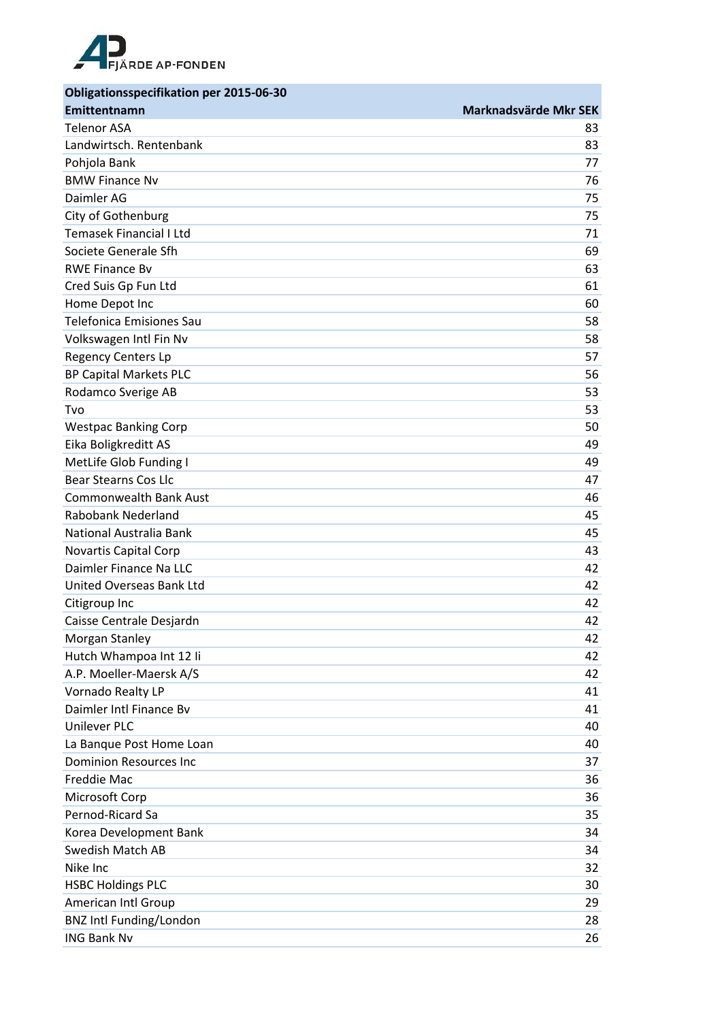

| <b>Obligationsspecifikation per 2015-06-30</b> |                       |
|------------------------------------------------|-----------------------|
| Emittentnamn                                   | Marknadsvärde Mkr SEK |
| <b>Telenor ASA</b>                             | 83                    |
| Landwirtsch. Rentenbank                        | 83                    |
| Pohjola Bank                                   | 77                    |
| <b>BMW Finance Nv</b>                          | 76                    |
| Daimler AG                                     | 75                    |
| City of Gothenburg                             | 75                    |
| Temasek Financial I Ltd                        | 71                    |
| Societe Generale Sfh                           | 69                    |
| <b>RWE Finance By</b>                          | 63                    |
| Cred Suis Gp Fun Ltd                           | 61                    |
| Home Depot Inc                                 | 60                    |
| <b>Telefonica Emisiones Sau</b>                | 58                    |
| Volkswagen Intl Fin Nv                         | 58                    |
| <b>Regency Centers Lp</b>                      | 57                    |
| <b>BP Capital Markets PLC</b>                  | 56                    |
| Rodamco Sverige AB                             | 53                    |
| Tvo                                            | 53                    |
| <b>Westpac Banking Corp</b>                    | 50                    |
| Eika Boligkreditt AS                           | 49                    |
| MetLife Glob Funding I                         | 49                    |
| <b>Bear Stearns Cos Llc</b>                    | 47                    |
| <b>Commonwealth Bank Aust</b>                  | 46                    |
| Rabobank Nederland                             | 45                    |
| National Australia Bank                        | 45                    |
| Novartis Capital Corp                          | 43                    |
| Daimler Finance Na LLC                         | 42                    |
| United Overseas Bank Ltd                       | 42                    |
| Citigroup Inc                                  | 42                    |
| Caisse Centrale Desjardn                       | 42                    |
| Morgan Stanley                                 | 42                    |
| Hutch Whampoa Int 12 li                        | 42                    |
| A.P. Moeller-Maersk A/S                        | 42                    |
| Vornado Realty LP                              | 41                    |
| Daimler Intl Finance By                        | 41                    |
| <b>Unilever PLC</b>                            | 40                    |
| La Banque Post Home Loan                       | 40                    |
| <b>Dominion Resources Inc</b>                  | 37                    |
| Freddie Mac                                    | 36                    |
| Microsoft Corp                                 | 36                    |
| Pernod-Ricard Sa                               | 35                    |
| Korea Development Bank                         | 34                    |
| <b>Swedish Match AB</b>                        | 34                    |
| Nike Inc                                       | 32                    |
| <b>HSBC Holdings PLC</b>                       | 30                    |
| American Intl Group                            | 29                    |
| <b>BNZ Intl Funding/London</b>                 | 28                    |
| <b>ING Bank Nv</b>                             | 26                    |